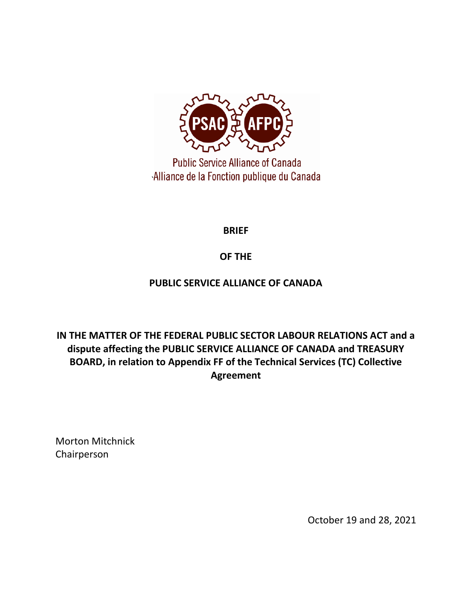

**Public Service Alliance of Canada Alliance de la Fonction publique du Canada** 

**BRIEF**

# **OF THE**

# **PUBLIC SERVICE ALLIANCE OF CANADA**

**IN THE MATTER OF THE FEDERAL PUBLIC SECTOR LABOUR RELATIONS ACT and a dispute affecting the PUBLIC SERVICE ALLIANCE OF CANADA and TREASURY BOARD, in relation to Appendix FF of the Technical Services (TC) Collective Agreement**

Morton Mitchnick Chairperson

October 19 and 28, 2021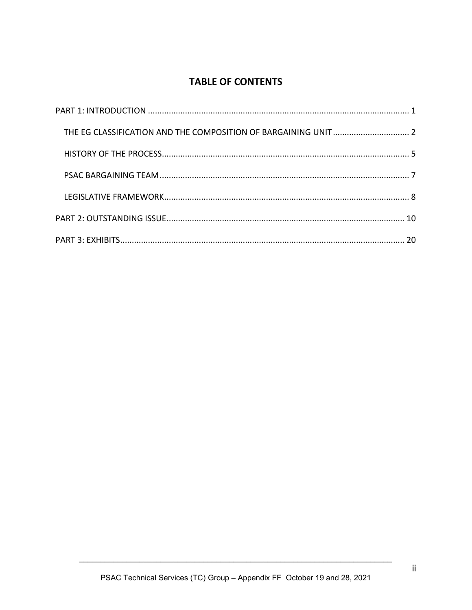# **TABLE OF CONTENTS**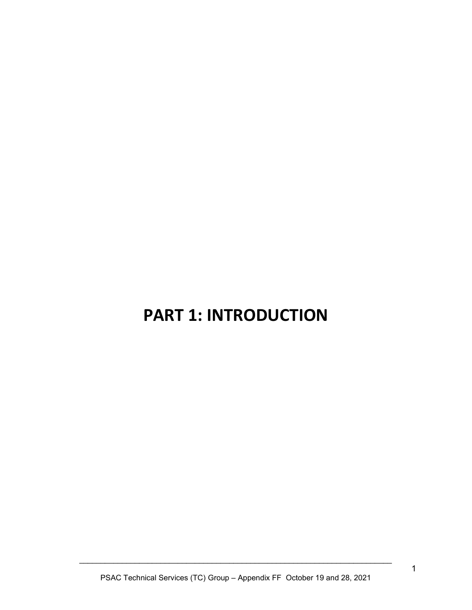# <span id="page-2-0"></span>**PART 1: INTRODUCTION**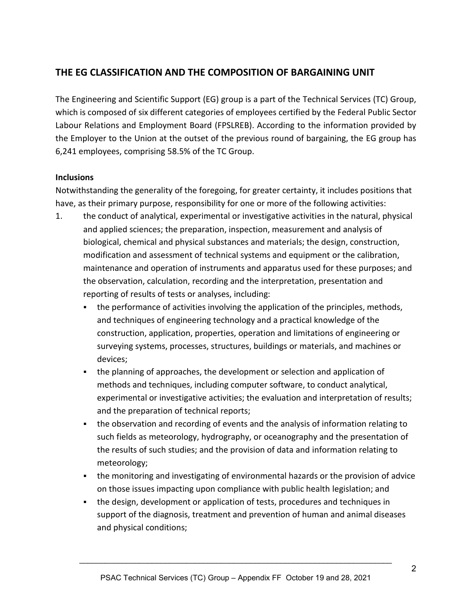# <span id="page-3-0"></span>**THE EG CLASSIFICATION AND THE COMPOSITION OF BARGAINING UNIT**

The Engineering and Scientific Support (EG) group is a part of the Technical Services (TC) Group, which is composed of six different categories of employees certified by the Federal Public Sector Labour Relations and Employment Board (FPSLREB). According to the information provided by the Employer to the Union at the outset of the previous round of bargaining, the EG group has 6,241 employees, comprising 58.5% of the TC Group.

#### **Inclusions**

Notwithstanding the generality of the foregoing, for greater certainty, it includes positions that have, as their primary purpose, responsibility for one or more of the following activities:

- 1. the conduct of analytical, experimental or investigative activities in the natural, physical and applied sciences; the preparation, inspection, measurement and analysis of biological, chemical and physical substances and materials; the design, construction, modification and assessment of technical systems and equipment or the calibration, maintenance and operation of instruments and apparatus used for these purposes; and the observation, calculation, recording and the interpretation, presentation and reporting of results of tests or analyses, including:
	- **•** the performance of activities involving the application of the principles, methods, and techniques of engineering technology and a practical knowledge of the construction, application, properties, operation and limitations of engineering or surveying systems, processes, structures, buildings or materials, and machines or devices;
	- the planning of approaches, the development or selection and application of methods and techniques, including computer software, to conduct analytical, experimental or investigative activities; the evaluation and interpretation of results; and the preparation of technical reports;
	- the observation and recording of events and the analysis of information relating to such fields as meteorology, hydrography, or oceanography and the presentation of the results of such studies; and the provision of data and information relating to meteorology;
	- **•** the monitoring and investigating of environmental hazards or the provision of advice on those issues impacting upon compliance with public health legislation; and
	- the design, development or application of tests, procedures and techniques in support of the diagnosis, treatment and prevention of human and animal diseases and physical conditions;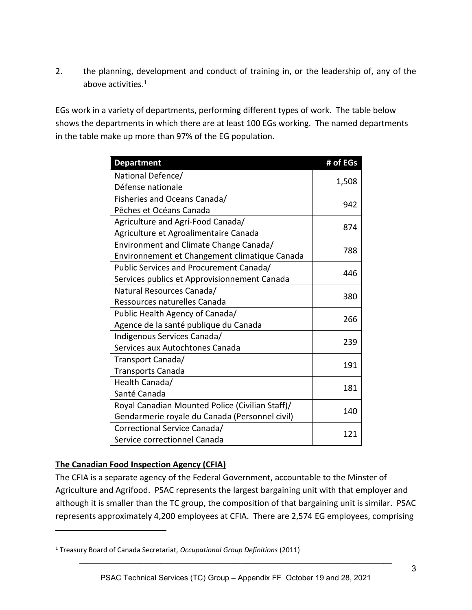2. the planning, development and conduct of training in, or the leadership of, any of the above activities.<sup>1</sup>

EGs work in a variety of departments, performing different types of work. The table below shows the departments in which there are at least 100 EGs working. The named departments in the table make up more than 97% of the EG population.

| <b>Department</b>                               | # of EGs |
|-------------------------------------------------|----------|
| National Defence/                               |          |
| Défense nationale                               | 1,508    |
| Fisheries and Oceans Canada/                    |          |
| Pêches et Océans Canada                         | 942      |
| Agriculture and Agri-Food Canada/               |          |
| Agriculture et Agroalimentaire Canada           | 874      |
| Environment and Climate Change Canada/          | 788      |
| Environnement et Changement climatique Canada   |          |
| Public Services and Procurement Canada/         | 446      |
| Services publics et Approvisionnement Canada    |          |
| Natural Resources Canada/                       | 380      |
| Ressources naturelles Canada                    |          |
| Public Health Agency of Canada/                 | 266      |
| Agence de la santé publique du Canada           |          |
| Indigenous Services Canada/                     | 239      |
| Services aux Autochtones Canada                 |          |
| Transport Canada/                               | 191      |
| <b>Transports Canada</b>                        |          |
| Health Canada/                                  | 181      |
| Santé Canada                                    |          |
| Royal Canadian Mounted Police (Civilian Staff)/ | 140      |
| Gendarmerie royale du Canada (Personnel civil)  |          |
| Correctional Service Canada/                    | 121      |
| Service correctionnel Canada                    |          |

### **The Canadian Food Inspection Agency (CFIA)**

The CFIA is a separate agency of the Federal Government, accountable to the Minster of Agriculture and Agrifood. PSAC represents the largest bargaining unit with that employer and although it is smaller than the TC group, the composition of that bargaining unit is similar. PSAC represents approximately 4,200 employees at CFIA. There are 2,574 EG employees, comprising

<sup>1</sup> Treasury Board of Canada Secretariat, *Occupational Group Definitions* (2011)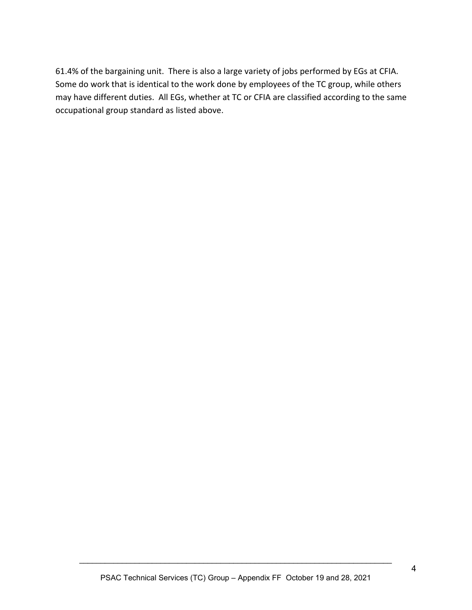61.4% of the bargaining unit. There is also a large variety of jobs performed by EGs at CFIA. Some do work that is identical to the work done by employees of the TC group, while others may have different duties. All EGs, whether at TC or CFIA are classified according to the same occupational group standard as listed above.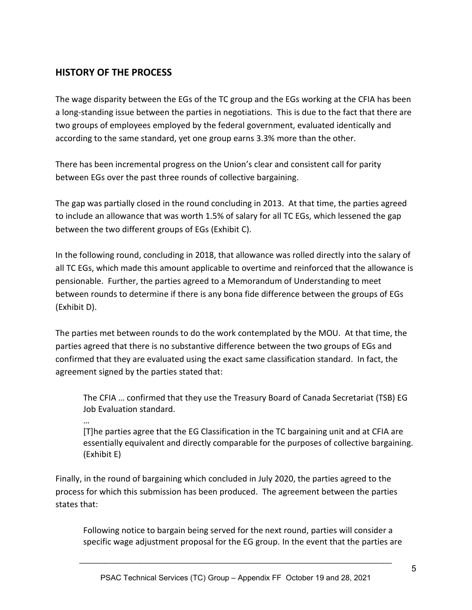# <span id="page-6-0"></span>**HISTORY OF THE PROCESS**

The wage disparity between the EGs of the TC group and the EGs working at the CFIA has been a long-standing issue between the parties in negotiations. This is due to the fact that there are two groups of employees employed by the federal government, evaluated identically and according to the same standard, yet one group earns 3.3% more than the other.

There has been incremental progress on the Union's clear and consistent call for parity between EGs over the past three rounds of collective bargaining.

The gap was partially closed in the round concluding in 2013. At that time, the parties agreed to include an allowance that was worth 1.5% of salary for all TC EGs, which lessened the gap between the two different groups of EGs (Exhibit C).

In the following round, concluding in 2018, that allowance was rolled directly into the salary of all TC EGs, which made this amount applicable to overtime and reinforced that the allowance is pensionable. Further, the parties agreed to a Memorandum of Understanding to meet between rounds to determine if there is any bona fide difference between the groups of EGs (Exhibit D).

The parties met between rounds to do the work contemplated by the MOU. At that time, the parties agreed that there is no substantive difference between the two groups of EGs and confirmed that they are evaluated using the exact same classification standard. In fact, the agreement signed by the parties stated that:

The CFIA … confirmed that they use the Treasury Board of Canada Secretariat (TSB) EG Job Evaluation standard.

…

[T]he parties agree that the EG Classification in the TC bargaining unit and at CFIA are essentially equivalent and directly comparable for the purposes of collective bargaining. (Exhibit E)

Finally, in the round of bargaining which concluded in July 2020, the parties agreed to the process for which this submission has been produced. The agreement between the parties states that:

Following notice to bargain being served for the next round, parties will consider a specific wage adjustment proposal for the EG group. In the event that the parties are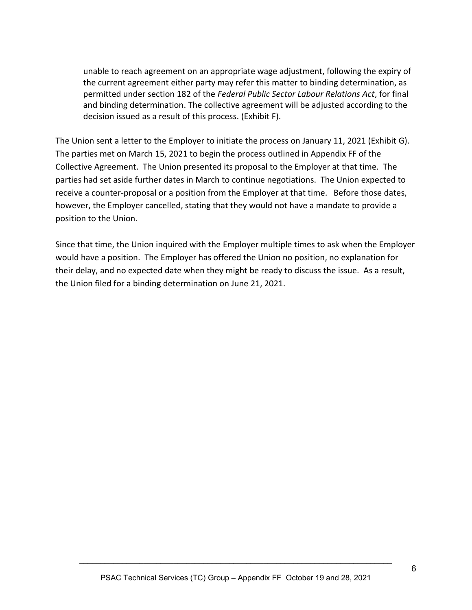unable to reach agreement on an appropriate wage adjustment, following the expiry of the current agreement either party may refer this matter to binding determination, as permitted under section 182 of the *Federal Public Sector Labour Relations Act*, for final and binding determination. The collective agreement will be adjusted according to the decision issued as a result of this process. (Exhibit F).

The Union sent a letter to the Employer to initiate the process on January 11, 2021 (Exhibit G). The parties met on March 15, 2021 to begin the process outlined in Appendix FF of the Collective Agreement. The Union presented its proposal to the Employer at that time. The parties had set aside further dates in March to continue negotiations. The Union expected to receive a counter-proposal or a position from the Employer at that time. Before those dates, however, the Employer cancelled, stating that they would not have a mandate to provide a position to the Union.

Since that time, the Union inquired with the Employer multiple times to ask when the Employer would have a position. The Employer has offered the Union no position, no explanation for their delay, and no expected date when they might be ready to discuss the issue. As a result, the Union filed for a binding determination on June 21, 2021.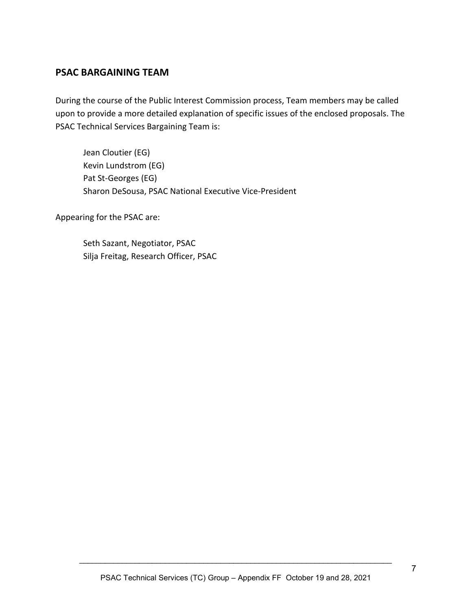# <span id="page-8-0"></span>**PSAC BARGAINING TEAM**

During the course of the Public Interest Commission process, Team members may be called upon to provide a more detailed explanation of specific issues of the enclosed proposals. The PSAC Technical Services Bargaining Team is:

Jean Cloutier (EG) Kevin Lundstrom (EG) Pat St-Georges (EG) Sharon DeSousa, PSAC National Executive Vice-President

Appearing for the PSAC are:

Seth Sazant, Negotiator, PSAC Silja Freitag, Research Officer, PSAC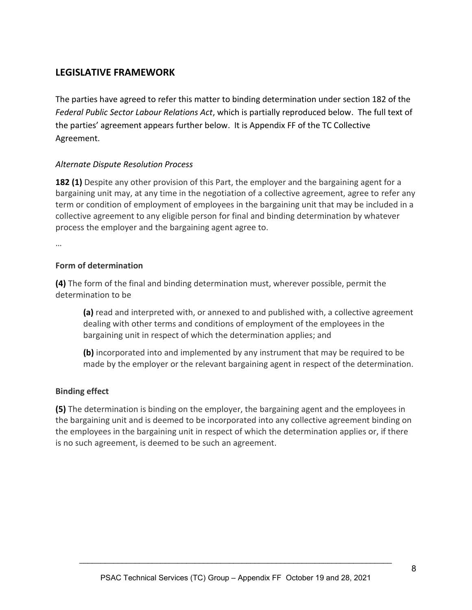# <span id="page-9-0"></span>**LEGISLATIVE FRAMEWORK**

The parties have agreed to refer this matter to binding determination under section 182 of the *Federal Public Sector Labour Relations Act*, which is partially reproduced below. The full text of the parties' agreement appears further below. It is Appendix FF of the TC Collective Agreement.

## *Alternate Dispute Resolution Process*

**182 (1)** Despite any other provision of this Part, the employer and the bargaining agent for a bargaining unit may, at any time in the negotiation of a collective agreement, agree to refer any term or condition of employment of employees in the bargaining unit that may be included in a collective agreement to any eligible person for final and binding determination by whatever process the employer and the bargaining agent agree to.

…

### **Form of determination**

**(4)** The form of the final and binding determination must, wherever possible, permit the determination to be

**(a)** read and interpreted with, or annexed to and published with, a collective agreement dealing with other terms and conditions of employment of the employees in the bargaining unit in respect of which the determination applies; and

**(b)** incorporated into and implemented by any instrument that may be required to be made by the employer or the relevant bargaining agent in respect of the determination.

### **Binding effect**

**(5)** The determination is binding on the employer, the bargaining agent and the employees in the bargaining unit and is deemed to be incorporated into any collective agreement binding on the employees in the bargaining unit in respect of which the determination applies or, if there is no such agreement, is deemed to be such an agreement.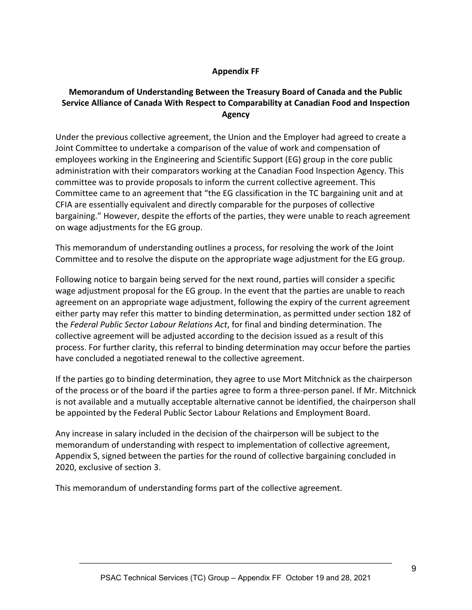## **Appendix FF**

## **Memorandum of Understanding Between the Treasury Board of Canada and the Public Service Alliance of Canada With Respect to Comparability at Canadian Food and Inspection Agency**

Under the previous collective agreement, the Union and the Employer had agreed to create a Joint Committee to undertake a comparison of the value of work and compensation of employees working in the Engineering and Scientific Support (EG) group in the core public administration with their comparators working at the Canadian Food Inspection Agency. This committee was to provide proposals to inform the current collective agreement. This Committee came to an agreement that "the EG classification in the TC bargaining unit and at CFIA are essentially equivalent and directly comparable for the purposes of collective bargaining." However, despite the efforts of the parties, they were unable to reach agreement on wage adjustments for the EG group.

This memorandum of understanding outlines a process, for resolving the work of the Joint Committee and to resolve the dispute on the appropriate wage adjustment for the EG group.

Following notice to bargain being served for the next round, parties will consider a specific wage adjustment proposal for the EG group. In the event that the parties are unable to reach agreement on an appropriate wage adjustment, following the expiry of the current agreement either party may refer this matter to binding determination, as permitted under section 182 of the *Federal Public Sector Labour Relations Act*, for final and binding determination. The collective agreement will be adjusted according to the decision issued as a result of this process. For further clarity, this referral to binding determination may occur before the parties have concluded a negotiated renewal to the collective agreement.

If the parties go to binding determination, they agree to use Mort Mitchnick as the chairperson of the process or of the board if the parties agree to form a three-person panel. If Mr. Mitchnick is not available and a mutually acceptable alternative cannot be identified, the chairperson shall be appointed by the Federal Public Sector Labour Relations and Employment Board.

Any increase in salary included in the decision of the chairperson will be subject to the memorandum of understanding with respect to implementation of collective agreement, Appendix S, signed between the parties for the round of collective bargaining concluded in 2020, exclusive of section 3.

This memorandum of understanding forms part of the collective agreement.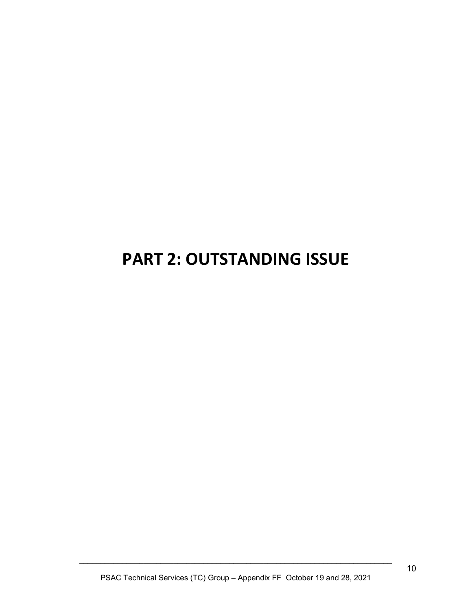# <span id="page-11-0"></span>**PART 2: OUTSTANDING ISSUE**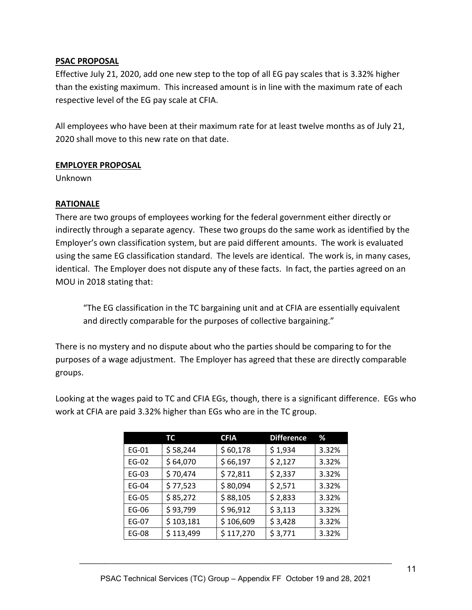### **PSAC PROPOSAL**

Effective July 21, 2020, add one new step to the top of all EG pay scales that is 3.32% higher than the existing maximum. This increased amount is in line with the maximum rate of each respective level of the EG pay scale at CFIA.

All employees who have been at their maximum rate for at least twelve months as of July 21, 2020 shall move to this new rate on that date.

### **EMPLOYER PROPOSAL**

Unknown

## **RATIONALE**

There are two groups of employees working for the federal government either directly or indirectly through a separate agency. These two groups do the same work as identified by the Employer's own classification system, but are paid different amounts. The work is evaluated using the same EG classification standard. The levels are identical. The work is, in many cases, identical. The Employer does not dispute any of these facts. In fact, the parties agreed on an MOU in 2018 stating that:

"The EG classification in the TC bargaining unit and at CFIA are essentially equivalent and directly comparable for the purposes of collective bargaining."

There is no mystery and no dispute about who the parties should be comparing to for the purposes of a wage adjustment. The Employer has agreed that these are directly comparable groups.

Looking at the wages paid to TC and CFIA EGs, though, there is a significant difference. EGs who work at CFIA are paid 3.32% higher than EGs who are in the TC group.

|              | ТC        | <b>CFIA</b> | <b>Difference</b> | ℅     |
|--------------|-----------|-------------|-------------------|-------|
| EG-01        | \$58,244  | \$60,178    | \$1,934           | 3.32% |
| EG-02        | \$64,070  | \$66,197    | \$2,127           | 3.32% |
| EG-03        | \$70,474  | \$72,811    | \$2,337           | 3.32% |
| EG-04        | \$77,523  | \$80,094    | \$2,571           | 3.32% |
| EG-05        | \$85,272  | \$88,105    | \$2,833           | 3.32% |
| EG-06        | \$93,799  | \$96,912    | \$3,113           | 3.32% |
| EG-07        | \$103,181 | \$106,609   | \$3,428           | 3.32% |
| <b>EG-08</b> | \$113,499 | \$117,270   | \$3,771           | 3.32% |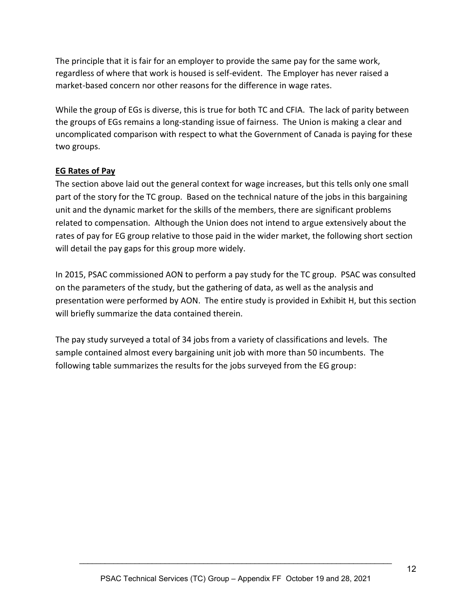The principle that it is fair for an employer to provide the same pay for the same work, regardless of where that work is housed is self-evident. The Employer has never raised a market-based concern nor other reasons for the difference in wage rates.

While the group of EGs is diverse, this is true for both TC and CFIA. The lack of parity between the groups of EGs remains a long-standing issue of fairness. The Union is making a clear and uncomplicated comparison with respect to what the Government of Canada is paying for these two groups.

## **EG Rates of Pay**

The section above laid out the general context for wage increases, but this tells only one small part of the story for the TC group. Based on the technical nature of the jobs in this bargaining unit and the dynamic market for the skills of the members, there are significant problems related to compensation. Although the Union does not intend to argue extensively about the rates of pay for EG group relative to those paid in the wider market, the following short section will detail the pay gaps for this group more widely.

In 2015, PSAC commissioned AON to perform a pay study for the TC group. PSAC was consulted on the parameters of the study, but the gathering of data, as well as the analysis and presentation were performed by AON. The entire study is provided in Exhibit H, but this section will briefly summarize the data contained therein.

The pay study surveyed a total of 34 jobs from a variety of classifications and levels. The sample contained almost every bargaining unit job with more than 50 incumbents. The following table summarizes the results for the jobs surveyed from the EG group: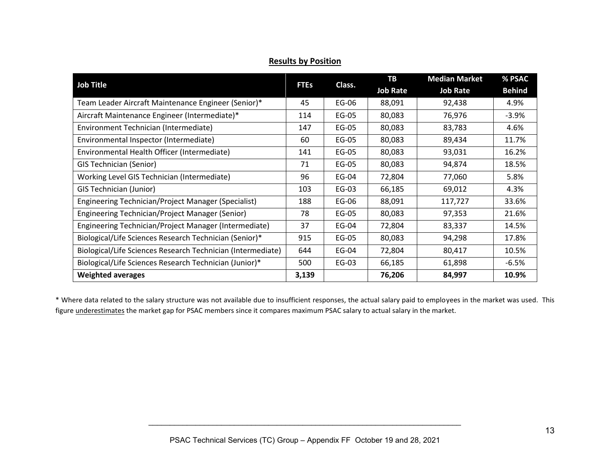| <b>Job Title</b>                                            |             |        | TВ              | <b>Median Market</b> | % PSAC        |
|-------------------------------------------------------------|-------------|--------|-----------------|----------------------|---------------|
|                                                             | <b>FTEs</b> | Class. | <b>Job Rate</b> | <b>Job Rate</b>      | <b>Behind</b> |
| Team Leader Aircraft Maintenance Engineer (Senior)*         | 45          | EG-06  | 88,091          | 92,438               | 4.9%          |
| Aircraft Maintenance Engineer (Intermediate)*               | 114         | EG-05  | 80,083          | 76,976               | $-3.9\%$      |
| Environment Technician (Intermediate)                       | 147         | EG-05  | 80,083          | 83,783               | 4.6%          |
| Environmental Inspector (Intermediate)                      | 60          | EG-05  | 80,083          | 89,434               | 11.7%         |
| Environmental Health Officer (Intermediate)                 | 141         | EG-05  | 80,083          | 93,031               | 16.2%         |
| <b>GIS Technician (Senior)</b>                              | 71          | EG-05  | 80,083          | 94,874               | 18.5%         |
| Working Level GIS Technician (Intermediate)                 | 96          | EG-04  | 72,804          | 77,060               | 5.8%          |
| <b>GIS Technician (Junior)</b>                              | 103         | EG-03  | 66,185          | 69,012               | 4.3%          |
| Engineering Technician/Project Manager (Specialist)         | 188         | EG-06  | 88,091          | 117,727              | 33.6%         |
| Engineering Technician/Project Manager (Senior)             | 78          | EG-05  | 80,083          | 97,353               | 21.6%         |
| Engineering Technician/Project Manager (Intermediate)       | 37          | EG-04  | 72,804          | 83,337               | 14.5%         |
| Biological/Life Sciences Research Technician (Senior)*      | 915         | EG-05  | 80,083          | 94,298               | 17.8%         |
| Biological/Life Sciences Research Technician (Intermediate) | 644         | EG-04  | 72,804          | 80,417               | 10.5%         |
| Biological/Life Sciences Research Technician (Junior)*      | 500         | EG-03  | 66,185          | 61,898               | $-6.5%$       |
| <b>Weighted averages</b>                                    | 3,139       |        | 76,206          | 84,997               | 10.9%         |

**Results by Position**

\* Where data related to the salary structure was not available due to insufficient responses, the actual salary paid to employees in the market was used. This figure underestimates the market gap for PSAC members since it compares maximum PSAC salary to actual salary in the market.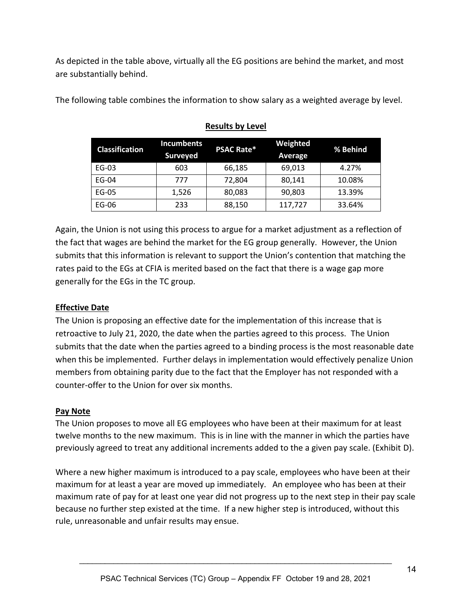As depicted in the table above, virtually all the EG positions are behind the market, and most are substantially behind.

The following table combines the information to show salary as a weighted average by level.

| <b>Classification</b> | <b>Incumbents</b><br><b>Surveyed</b> | <b>PSAC Rate*</b> | Weighted<br>Average | % Behind |
|-----------------------|--------------------------------------|-------------------|---------------------|----------|
| EG-03                 | 603                                  | 66,185            | 69,013              | 4.27%    |
| EG-04                 | 777                                  | 72,804            | 80,141              | 10.08%   |
| EG-05                 | 1,526                                | 80,083            | 90,803              | 13.39%   |
| EG-06                 | 233                                  | 88,150            | 117,727             | 33.64%   |

# **Results by Level**

Again, the Union is not using this process to argue for a market adjustment as a reflection of the fact that wages are behind the market for the EG group generally. However, the Union submits that this information is relevant to support the Union's contention that matching the rates paid to the EGs at CFIA is merited based on the fact that there is a wage gap more generally for the EGs in the TC group.

## **Effective Date**

The Union is proposing an effective date for the implementation of this increase that is retroactive to July 21, 2020, the date when the parties agreed to this process. The Union submits that the date when the parties agreed to a binding process is the most reasonable date when this be implemented. Further delays in implementation would effectively penalize Union members from obtaining parity due to the fact that the Employer has not responded with a counter-offer to the Union for over six months.

### **Pay Note**

The Union proposes to move all EG employees who have been at their maximum for at least twelve months to the new maximum. This is in line with the manner in which the parties have previously agreed to treat any additional increments added to the a given pay scale. (Exhibit D).

Where a new higher maximum is introduced to a pay scale, employees who have been at their maximum for at least a year are moved up immediately. An employee who has been at their maximum rate of pay for at least one year did not progress up to the next step in their pay scale because no further step existed at the time. If a new higher step is introduced, without this rule, unreasonable and unfair results may ensue.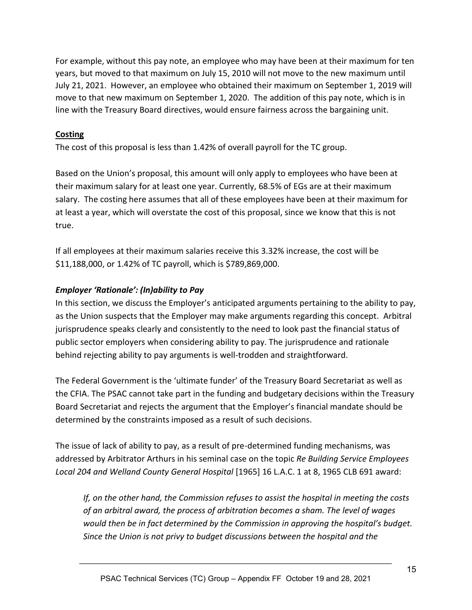For example, without this pay note, an employee who may have been at their maximum for ten years, but moved to that maximum on July 15, 2010 will not move to the new maximum until July 21, 2021. However, an employee who obtained their maximum on September 1, 2019 will move to that new maximum on September 1, 2020. The addition of this pay note, which is in line with the Treasury Board directives, would ensure fairness across the bargaining unit.

### **Costing**

The cost of this proposal is less than 1.42% of overall payroll for the TC group.

Based on the Union's proposal, this amount will only apply to employees who have been at their maximum salary for at least one year. Currently, 68.5% of EGs are at their maximum salary. The costing here assumes that all of these employees have been at their maximum for at least a year, which will overstate the cost of this proposal, since we know that this is not true.

If all employees at their maximum salaries receive this 3.32% increase, the cost will be \$11,188,000, or 1.42% of TC payroll, which is \$789,869,000.

#### *Employer 'Rationale': (In)ability to Pay*

In this section, we discuss the Employer's anticipated arguments pertaining to the ability to pay, as the Union suspects that the Employer may make arguments regarding this concept. Arbitral jurisprudence speaks clearly and consistently to the need to look past the financial status of public sector employers when considering ability to pay. The jurisprudence and rationale behind rejecting ability to pay arguments is well-trodden and straightforward.

The Federal Government is the 'ultimate funder' of the Treasury Board Secretariat as well as the CFIA. The PSAC cannot take part in the funding and budgetary decisions within the Treasury Board Secretariat and rejects the argument that the Employer's financial mandate should be determined by the constraints imposed as a result of such decisions.

The issue of lack of ability to pay, as a result of pre-determined funding mechanisms, was addressed by Arbitrator Arthurs in his seminal case on the topic *Re Building Service Employees Local 204 and Welland County General Hospital* [1965] 16 L.A.C. 1 at 8, 1965 CLB 691 award:

*If, on the other hand, the Commission refuses to assist the hospital in meeting the costs of an arbitral award, the process of arbitration becomes a sham. The level of wages would then be in fact determined by the Commission in approving the hospital's budget. Since the Union is not privy to budget discussions between the hospital and the*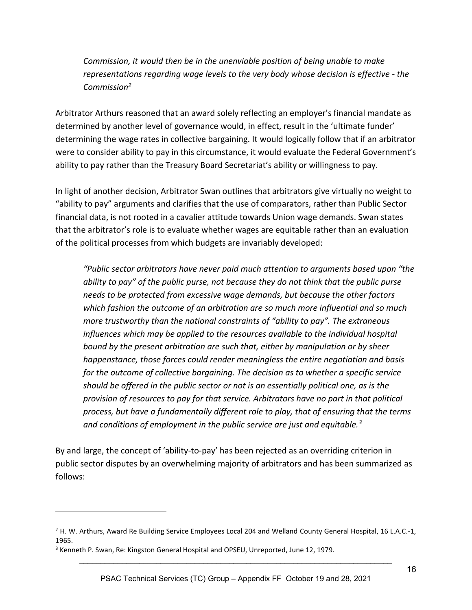*Commission, it would then be in the unenviable position of being unable to make representations regarding wage levels to the very body whose decision is effective - the Commission<sup>2</sup>*

Arbitrator Arthurs reasoned that an award solely reflecting an employer's financial mandate as determined by another level of governance would, in effect, result in the 'ultimate funder' determining the wage rates in collective bargaining. It would logically follow that if an arbitrator were to consider ability to pay in this circumstance, it would evaluate the Federal Government's ability to pay rather than the Treasury Board Secretariat's ability or willingness to pay.

In light of another decision, Arbitrator Swan outlines that arbitrators give virtually no weight to "ability to pay" arguments and clarifies that the use of comparators, rather than Public Sector financial data, is not rooted in a cavalier attitude towards Union wage demands. Swan states that the arbitrator's role is to evaluate whether wages are equitable rather than an evaluation of the political processes from which budgets are invariably developed:

*"Public sector arbitrators have never paid much attention to arguments based upon "the ability to pay" of the public purse, not because they do not think that the public purse needs to be protected from excessive wage demands, but because the other factors which fashion the outcome of an arbitration are so much more influential and so much more trustworthy than the national constraints of "ability to pay". The extraneous influences which may be applied to the resources available to the individual hospital bound by the present arbitration are such that, either by manipulation or by sheer happenstance, those forces could render meaningless the entire negotiation and basis for the outcome of collective bargaining. The decision as to whether a specific service should be offered in the public sector or not is an essentially political one, as is the provision of resources to pay for that service. Arbitrators have no part in that political process, but have a fundamentally different role to play, that of ensuring that the terms and conditions of employment in the public service are just and equitable.<sup>3</sup>*

By and large, the concept of 'ability-to-pay' has been rejected as an overriding criterion in public sector disputes by an overwhelming majority of arbitrators and has been summarized as follows:

 $2$  H. W. Arthurs, Award Re Building Service Employees Local 204 and Welland County General Hospital, 16 L.A.C.-1, 1965.

<sup>3</sup> Kenneth P. Swan, Re: Kingston General Hospital and OPSEU, Unreported, June 12, 1979.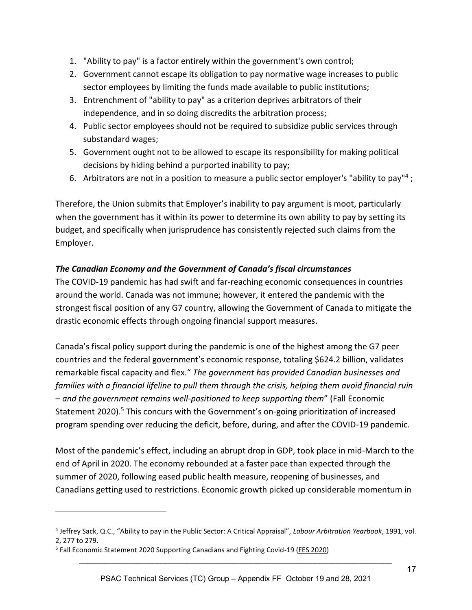- 1. "Ability to pay" is a factor entirely within the government's own control;
- 2. Government cannot escape its obligation to pay normative wage increases to public sector employees by limiting the funds made available to public institutions;
- 3. Entrenchment of "ability to pay" as a criterion deprives arbitrators of their independence, and in so doing discredits the arbitration process;
- 4. Public sector employees should not be required to subsidize public services through substandard wages;
- 5. Government ought not to be allowed to escape its responsibility for making political decisions by hiding behind a purported inability to pay;
- 6. Arbitrators are not in a position to measure a public sector employer's "ability to pay"<sup>4</sup>;

Therefore, the Union submits that Employer's inability to pay argument is moot, particularly when the government has it within its power to determine its own ability to pay by setting its budget, and specifically when jurisprudence has consistently rejected such claims from the Employer.

## *The Canadian Economy and the Government of Canada's fiscal circumstances*

The COVID-19 pandemic has had swift and far-reaching economic consequences in countries around the world. Canada was not immune; however, it entered the pandemic with the strongest fiscal position of any G7 country, allowing the Government of Canada to mitigate the drastic economic effects through ongoing financial support measures.

Canada's fiscal policy support during the pandemic is one of the highest among the G7 peer countries and the federal government's economic response, totaling \$624.2 billion, validates remarkable fiscal capacity and flex." *The government has provided Canadian businesses and families with a financial lifeline to pull them through the crisis, helping them avoid financial ruin – and the government remains well-positioned to keep supporting them*" (Fall Economic Statement 2020).<sup>5</sup> This concurs with the Government's on-going prioritization of increased program spending over reducing the deficit, before, during, and after the COVID-19 pandemic.

<span id="page-18-0"></span>Most of the pandemic's effect, including an abrupt drop in GDP, took place in mid-March to the end of April in 2020. The economy rebounded at a faster pace than expected through the summer of 2020, following eased public health measure, reopening of businesses, and Canadians getting used to restrictions. Economic growth picked up considerable momentum in

<sup>4</sup> Jeffrey Sack, Q.C., "Ability to pay in the Public Sector: A Critical Appraisal", *Labour Arbitration Yearbook*, 1991, vol. 2, 277 to 279.

<sup>&</sup>lt;sup>5</sup> Fall Economic Statement 2020 Supporting Canadians and Fighting Covid-19 [\(FES 2020\)](https://www.budget.gc.ca/fes-eea/2020/report-rapport/toc-tdm-en.html)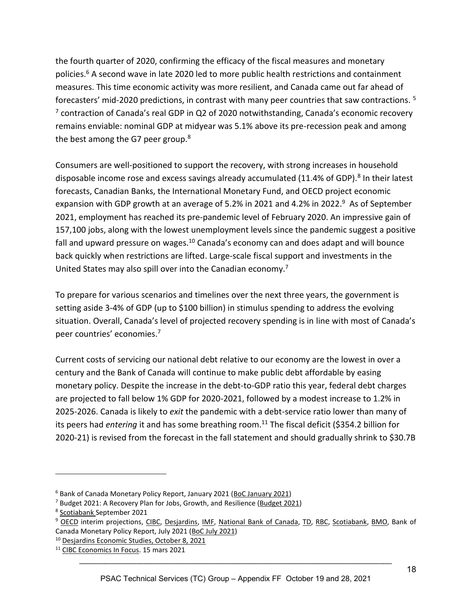<span id="page-19-2"></span><span id="page-19-1"></span>the fourth quarter of 2020, confirming the efficacy of the fiscal measures and monetary policies.<sup>6</sup> A second wave in late 2020 led to more public health restrictions and containment measures. This time economic activity was more resilient, and Canada came out far ahead of forecasters' mid-2020 predictions, in contrast with many peer countries that saw contractions. [5](#page-18-0) <sup>7</sup> contraction of Canada's real GDP in Q2 of 2020 notwithstanding, Canada's economic recovery remains enviable: nominal GDP at midyear was 5.1% above its pre-recession peak and among the best among the G7 peer group. $8$ 

<span id="page-19-0"></span>Consumers are well-positioned to support the recovery, with strong increases in household disposable income rose and excess savings already accumulated (11.4% of GDP).<sup>8</sup> In their latest forecasts, Canadian Banks, the International Monetary Fund, and OECD project economic expansion with GDP growth at an average of 5.2% in 2021 and 4.2% in 2022.<sup>9</sup> As of September 2021, employment has reached its pre-pandemic level of February 2020. An impressive gain of 157,100 jobs, along with the lowest unemployment levels since the pandemic suggest a positive fall and upward pressure on wages.<sup>10</sup> Canada's economy can and does adapt and will bounce back quickly when restrictions are lifted. Large-scale fiscal support and investments in the United States may also spill over into the Canadian economy.[7](#page-19-1)

To prepare for various scenarios and timelines over the next three years, the government is setting aside 3-4% of GDP (up to \$100 billion) in stimulus spending to address the evolving situation. Overall, Canada's level of projected recovery spending is in line with most of Canada's peer countries' economies.[7](#page-19-1)

Current costs of servicing our national debt relative to our economy are the lowest in over a century and the Bank of Canada will continue to make public debt affordable by easing monetary policy. Despite the increase in the debt-to-GDP ratio this year, federal debt charges are projected to fall below 1% GDP for 2020-2021, followed by a modest increase to 1.2% in 2025-2026. Canada is likely to *exit* the pandemic with a debt-service ratio lower than many of its peers had *entering* it and has some breathing room.<sup>11</sup> The fiscal deficit (\$354.2 billion for 2020-21) is revised from the forecast in the fall statement and should gradually shrink to \$30.7B

<sup>6</sup> Bank of Canada Monetary Policy Report, January 2021 [\(BoC January 2021\)](https://www.bankofcanada.ca/2021/01/mpr-2021-01-20/)

<sup>7</sup> Budget 2021: A Recovery Plan for Jobs, Growth, and Resilience [\(Budget 2021\)](https://www.budget.gc.ca/2021/home-accueil-en.html)

<sup>&</sup>lt;sup>8</sup> [Scotiabank](https://www.scotiabank.com/ca/en/about/economics/economics-publications/post.other-publications.global-outlook-and-forecast-tables.scotiabank) September 2021

<sup>9</sup> [OECD](https://www.oecd-ilibrary.org/sites/490d4832-en/index.html?itemId=/content/publication/490d4832-en&_ga=2.190288236.637601130.1632758321-117746113.1627414162&_csp_=9d42df4f170e7a097e62cdf5332976c5&itemIGO=oecd&itemContentType=book#tablegrp-d1e140) interim projections, [CIBC,](https://economics.cibccm.com/cds?id=f2f40333-3bcf-4e63-9348-ce1f72e3994b&flag=E) [Desjardins,](https://www.desjardins.com/ressources/pdf/pefm2108-e.pdf?resVer=1629809578000) [IMF,](https://www.imf.org/en/Publications/WEO/Issues/2021/07/27/world-economic-outlook-update-july-2021#Projections) [National Bank](https://www.nbc.ca/content/dam/bnc/en/rates-and-analysis/economic-analysis/monthly-economic-monitor.pdf) of Canada, [TD,](https://economics.td.com/domains/economics.td.com/documents/reports/qef/2021-sep/5-ca-outlook.htm) [RBC,](http://www.rbc.com/economics/economic-data/pdf/economy_can.pdf) [Scotiabank,](https://www.scotiabank.com/ca/en/about/economics/economics-publications/post.other-publications.global-outlook-and-forecast-tables.scotiabank) [BMO,](https://economics.bmo.com/media/filer_public/8a/27/8a273155-7470-4670-92be-764eda823c83/outlookcanada.pdf) Bank of Canada Monetary Policy Report, July 2021 [\(BoC July 2021\)](https://www.bankofcanada.ca/2021/07/mpr-2021-07-14/)

<sup>&</sup>lt;sup>10</sup> Desjardins Economic Studies, October 8, 2021

<sup>11</sup> [CIBC Economics In Focus.](https://economics.cibccm.com/cds?id=53c73433-25ed-4808-a271-3958a9cc484c&flag=E) 15 mars 2021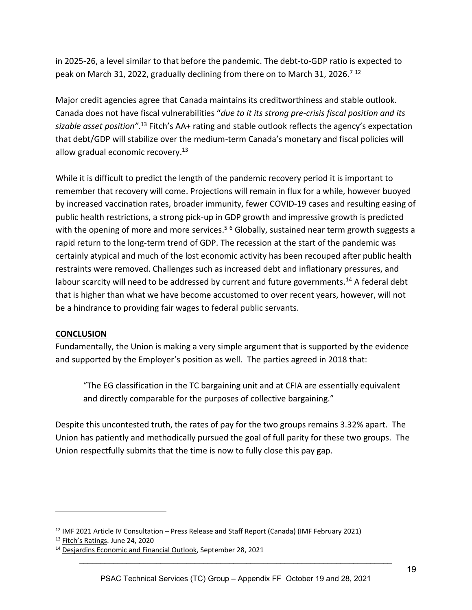in 2025-26, a level similar to that before the pandemic. The debt-to-GDP ratio is expected to peak on March 31, 2022, gradually declining from there on to March 31, 2026.<sup>[7](#page-19-1)12</sup>

Major credit agencies agree that Canada maintains its creditworthiness and stable outlook. Canada does not have fiscal vulnerabilities "*due to it its strong pre-crisis fiscal position and its sizable asset position"*. [13](#page-20-0) Fitch's AA+ rating and stable outlook reflects the agency's expectation that debt/GDP will stabilize over the medium-term Canada's monetary and fiscal policies will allow gradual economic recovery. $13$ 

<span id="page-20-0"></span>While it is difficult to predict the length of the pandemic recovery period it is important to remember that recovery will come. Projections will remain in flux for a while, however buoyed by increased vaccination rates, broader immunity, fewer COVID-19 cases and resulting easing of public health restrictions, a strong pick-up in GDP growth and impressive growth is predicted with the opening of more and more services.<sup>[5](#page-18-0)[6](#page-19-2)</sup> Globally, sustained near term growth suggests a rapid return to the long-term trend of GDP. The recession at the start of the pandemic was certainly atypical and much of the lost economic activity has been recouped after public health restraints were removed. Challenges such as increased debt and inflationary pressures, and labour scarcity will need to be addressed by current and future governments.<sup>14</sup> A federal debt that is higher than what we have become accustomed to over recent years, however, will not be a hindrance to providing fair wages to federal public servants.

### **CONCLUSION**

Fundamentally, the Union is making a very simple argument that is supported by the evidence and supported by the Employer's position as well. The parties agreed in 2018 that:

"The EG classification in the TC bargaining unit and at CFIA are essentially equivalent and directly comparable for the purposes of collective bargaining."

Despite this uncontested truth, the rates of pay for the two groups remains 3.32% apart. The Union has patiently and methodically pursued the goal of full parity for these two groups. The Union respectfully submits that the time is now to fully close this pay gap.

<sup>12</sup> IMF 2021 Article IV Consultation – Press Release and Staff Report (Canada) [\(IMF February 2021\)](https://www.imf.org/-/media/Files/Publications/CR/2021/English/1CANEA2021001.ashx)

<sup>&</sup>lt;sup>13</sup> [Fitch's Ra](https://www.fitchratings.com/research/sovereigns/fitch-downgrades-canada-ratings-to-aa-outlook-stable-24-06-2020)tings. June 24, 2020

<sup>&</sup>lt;sup>14</sup> [Desjardins Economic and Financial Outlook,](https://www.desjardins.com/ressources/pdf/peft2109-e.pdf) September 28, 2021